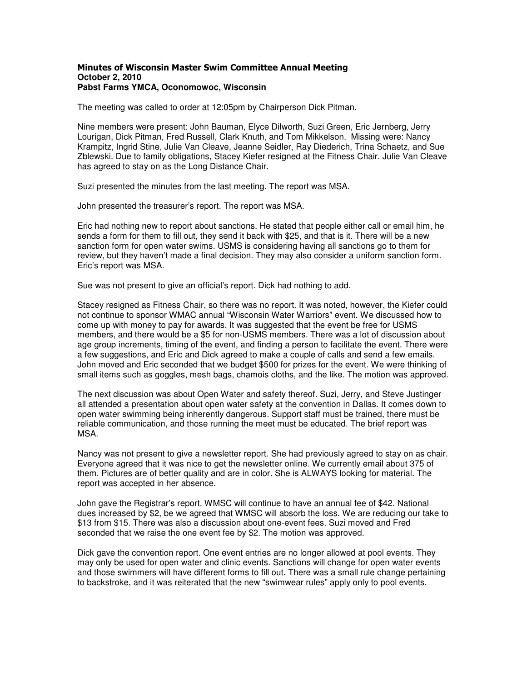## Minutes of Wisconsin Master Swim Committee Annual Meeting **October 2, 2010 Pabst Farms YMCA, Oconomowoc, Wisconsin**

The meeting was called to order at 12:05pm by Chairperson Dick Pitman.

Nine members were present: John Bauman, Elyce Dilworth, Suzi Green, Eric Jernberg, Jerry Lourigan, Dick Pitman, Fred Russell, Clark Knuth, and Tom Mikkelson. Missing were: Nancy Krampitz, Ingrid Stine, Julie Van Cleave, Jeanne Seidler, Ray Diederich, Trina Schaetz, and Sue Zblewski. Due to family obligations, Stacey Kiefer resigned at the Fitness Chair. Julie Van Cleave has agreed to stay on as the Long Distance Chair.

Suzi presented the minutes from the last meeting. The report was MSA.

John presented the treasurer's report. The report was MSA.

Eric had nothing new to report about sanctions. He stated that people either call or email him, he sends a form for them to fill out, they send it back with \$25, and that is it. There will be a new sanction form for open water swims. USMS is considering having all sanctions go to them for review, but they haven't made a final decision. They may also consider a uniform sanction form. Eric's report was MSA.

Sue was not present to give an official's report. Dick had nothing to add.

Stacey resigned as Fitness Chair, so there was no report. It was noted, however, the Kiefer could not continue to sponsor WMAC annual "Wisconsin Water Warriors" event. We discussed how to come up with money to pay for awards. It was suggested that the event be free for USMS members, and there would be a \$5 for non-USMS members. There was a lot of discussion about age group increments, timing of the event, and finding a person to facilitate the event. There were a few suggestions, and Eric and Dick agreed to make a couple of calls and send a few emails. John moved and Eric seconded that we budget \$500 for prizes for the event. We were thinking of small items such as goggles, mesh bags, chamois cloths, and the like. The motion was approved.

The next discussion was about Open Water and safety thereof. Suzi, Jerry, and Steve Justinger all attended a presentation about open water safety at the convention in Dallas. It comes down to open water swimming being inherently dangerous. Support staff must be trained, there must be reliable communication, and those running the meet must be educated. The brief report was MSA.

Nancy was not present to give a newsletter report. She had previously agreed to stay on as chair. Everyone agreed that it was nice to get the newsletter online. We currently email about 375 of them. Pictures are of better quality and are in color. She is ALWAYS looking for material. The report was accepted in her absence.

John gave the Registrar's report. WMSC will continue to have an annual fee of \$42. National dues increased by \$2, be we agreed that WMSC will absorb the loss. We are reducing our take to \$13 from \$15. There was also a discussion about one-event fees. Suzi moved and Fred seconded that we raise the one event fee by \$2. The motion was approved.

Dick gave the convention report. One event entries are no longer allowed at pool events. They may only be used for open water and clinic events. Sanctions will change for open water events and those swimmers will have different forms to fill out. There was a small rule change pertaining to backstroke, and it was reiterated that the new "swimwear rules" apply only to pool events.